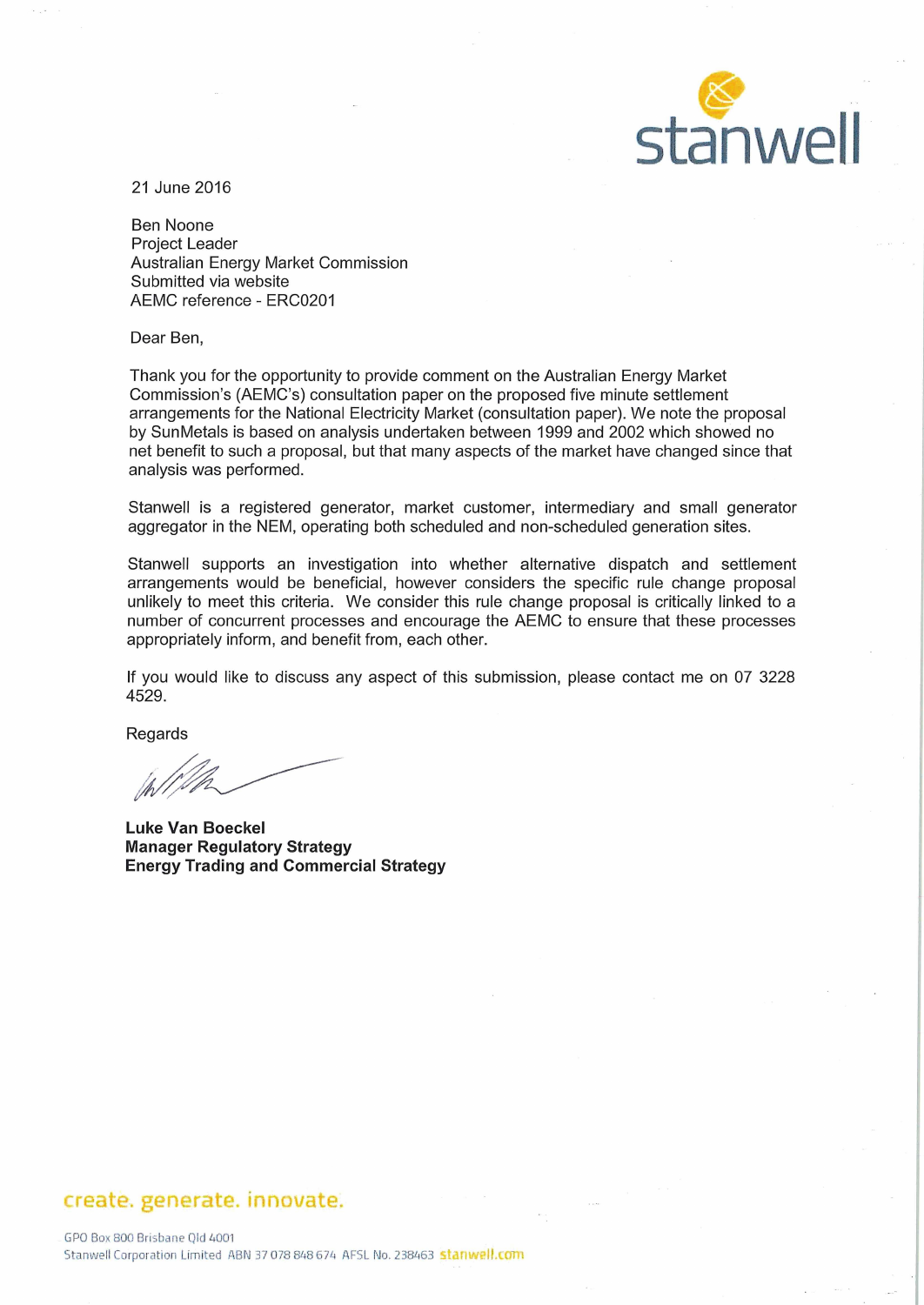

21 June 2016

Ben Noone Project Leader Australian Energy Market Commission Submitted via website AEMC reference - ERC0201

Dear Ben,

Thank you for the opportunity to provide comment on the Australian Energy Market Commission's (AEMC's) consultation paper on the proposed five minute settlement arrangements for the National Electricity Market (consultation paper). We note the proposal by SunMetals is based on analysis undertaken between 1999 and 2002 which showed no net benefit to such a proposal, but that many aspects of the market have changed since that analysis was performed.

Stanwell is a registered generator, market customer, intermediary and small generator aggregator in the NEM, operating both scheduled and non-scheduled generation sites.

Stanwell supports an investigation into whether alternative dispatch and settlement arrangements would be beneficial, however considers the specific rule change proposal unlikely to meet this criteria. We consider this rule change proposal is critically linked to a number of concurrent processes and encourage the AEMC to ensure that these processes appropriately inform, and benefit from, each other.

If you would like to discuss any aspect of this submission, please contact me on 07 3228 4529.

Regards

Luke Van Boeckel Manager Regulatory Strategy Energy Trading and Commercial Strategy

# create. generate. innovate.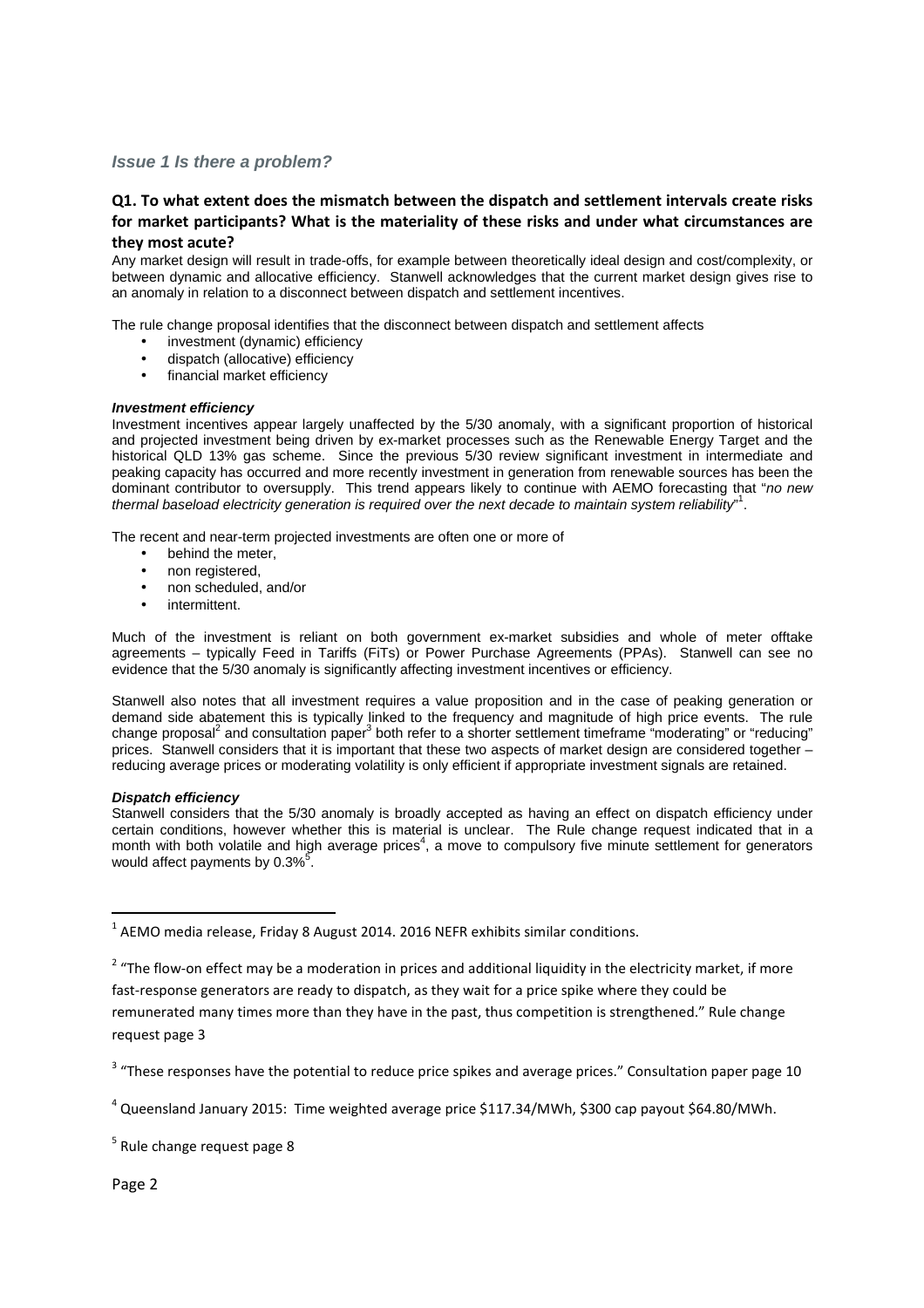## **Issue 1 Is there a problem?**

## **Q1. To what extent does the mismatch between the dispatch and settlement intervals create risks for market participants? What is the materiality of these risks and under what circumstances are they most acute?**

Any market design will result in trade-offs, for example between theoretically ideal design and cost/complexity, or between dynamic and allocative efficiency. Stanwell acknowledges that the current market design gives rise to an anomaly in relation to a disconnect between dispatch and settlement incentives.

The rule change proposal identifies that the disconnect between dispatch and settlement affects

- investment (dynamic) efficiency
- dispatch (allocative) efficiency
- financial market efficiency

#### **Investment efficiency**

Investment incentives appear largely unaffected by the 5/30 anomaly, with a significant proportion of historical and projected investment being driven by ex-market processes such as the Renewable Energy Target and the historical QLD 13% gas scheme. Since the previous 5/30 review significant investment in intermediate and peaking capacity has occurred and more recently investment in generation from renewable sources has been the dominant contributor to oversupply. This trend appears likely to continue with AEMO forecasting that "no new thermal baseload electricity generation is required over the next decade to maintain system reliability".

The recent and near-term projected investments are often one or more of

- behind the meter,
- non registered,
- non scheduled, and/or
- intermittent.

Much of the investment is reliant on both government ex-market subsidies and whole of meter offtake agreements – typically Feed in Tariffs (FiTs) or Power Purchase Agreements (PPAs). Stanwell can see no evidence that the 5/30 anomaly is significantly affecting investment incentives or efficiency.

Stanwell also notes that all investment requires a value proposition and in the case of peaking generation or demand side abatement this is typically linked to the frequency and magnitude of high price events. The rule change proposal<sup>2</sup> and consultation paper<sup>3</sup> both refer to a shorter settlement timeframe "moderating" or "reducing" prices. Stanwell considers that it is important that these two aspects of market design are considered together – reducing average prices or moderating volatility is only efficient if appropriate investment signals are retained.

#### **Dispatch efficiency**

Stanwell considers that the 5/30 anomaly is broadly accepted as having an effect on dispatch efficiency under certain conditions, however whether this is material is unclear. The Rule change request indicated that in a month with both volatile and high average prices<sup>4</sup>, a move to compulsory five minute settlement for generators would affect payments by 0.3%<sup>5</sup>.

 $\overline{\phantom{0}}$ 

 $^1$  AEMO media release, Friday 8 August 2014. 2016 NEFR exhibits similar conditions.

 $2$  "The flow-on effect may be a moderation in prices and additional liquidity in the electricity market, if more fast-response generators are ready to dispatch, as they wait for a price spike where they could be remunerated many times more than they have in the past, thus competition is strengthened." Rule change request page 3

 $3$  "These responses have the potential to reduce price spikes and average prices." Consultation paper page 10

 $^4$  Queensland January 2015: Time weighted average price \$117.34/MWh, \$300 cap payout \$64.80/MWh.

 $<sup>5</sup>$  Rule change request page 8</sup>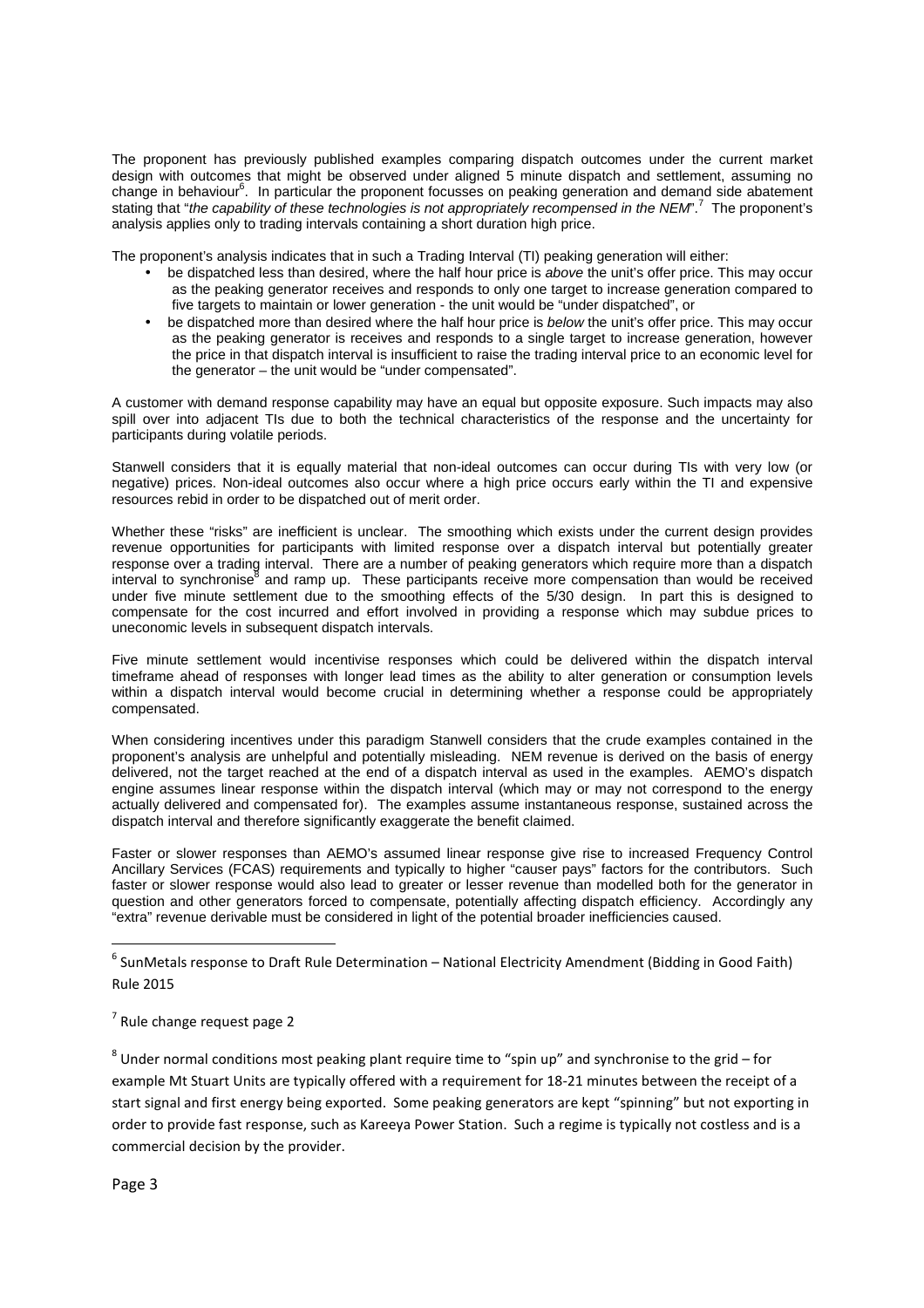The proponent has previously published examples comparing dispatch outcomes under the current market design with outcomes that might be observed under aligned 5 minute dispatch and settlement, assuming no change in behaviour<sup>6</sup>. In particular the proponent focusses on peaking generation and demand side abatement stating that "the capability of these technologies is not appropriately recompensed in the NEM".<sup>7</sup> The proponent's analysis applies only to trading intervals containing a short duration high price.

The proponent's analysis indicates that in such a Trading Interval (TI) peaking generation will either:

- be dispatched less than desired, where the half hour price is above the unit's offer price. This may occur as the peaking generator receives and responds to only one target to increase generation compared to five targets to maintain or lower generation - the unit would be "under dispatched", or
- be dispatched more than desired where the half hour price is below the unit's offer price. This may occur as the peaking generator is receives and responds to a single target to increase generation, however the price in that dispatch interval is insufficient to raise the trading interval price to an economic level for the generator – the unit would be "under compensated".

A customer with demand response capability may have an equal but opposite exposure. Such impacts may also spill over into adjacent TIs due to both the technical characteristics of the response and the uncertainty for participants during volatile periods.

Stanwell considers that it is equally material that non-ideal outcomes can occur during TIs with very low (or negative) prices. Non-ideal outcomes also occur where a high price occurs early within the TI and expensive resources rebid in order to be dispatched out of merit order.

Whether these "risks" are inefficient is unclear. The smoothing which exists under the current design provides revenue opportunities for participants with limited response over a dispatch interval but potentially greater response over a trading interval. There are a number of peaking generators which require more than a dispatch interval to synchronise<sup>8</sup> and ramp up. These participants receive more compensation than would be received under five minute settlement due to the smoothing effects of the 5/30 design. In part this is designed to compensate for the cost incurred and effort involved in providing a response which may subdue prices to uneconomic levels in subsequent dispatch intervals.

Five minute settlement would incentivise responses which could be delivered within the dispatch interval timeframe ahead of responses with longer lead times as the ability to alter generation or consumption levels within a dispatch interval would become crucial in determining whether a response could be appropriately compensated.

When considering incentives under this paradigm Stanwell considers that the crude examples contained in the proponent's analysis are unhelpful and potentially misleading. NEM revenue is derived on the basis of energy delivered, not the target reached at the end of a dispatch interval as used in the examples. AEMO's dispatch engine assumes linear response within the dispatch interval (which may or may not correspond to the energy actually delivered and compensated for). The examples assume instantaneous response, sustained across the dispatch interval and therefore significantly exaggerate the benefit claimed.

Faster or slower responses than AEMO's assumed linear response give rise to increased Frequency Control Ancillary Services (FCAS) requirements and typically to higher "causer pays" factors for the contributors. Such faster or slower response would also lead to greater or lesser revenue than modelled both for the generator in question and other generators forced to compensate, potentially affecting dispatch efficiency. Accordingly any "extra" revenue derivable must be considered in light of the potential broader inefficiencies caused.

<sup>6</sup> SunMetals response to Draft Rule Determination – National Electricity Amendment (Bidding in Good Faith) Rule 2015

l

 $<sup>7</sup>$  Rule change request page 2</sup>

 $^8$  Under normal conditions most peaking plant require time to "spin up" and synchronise to the grid – for example Mt Stuart Units are typically offered with a requirement for 18-21 minutes between the receipt of a start signal and first energy being exported. Some peaking generators are kept "spinning" but not exporting in order to provide fast response, such as Kareeya Power Station. Such a regime is typically not costless and is a commercial decision by the provider.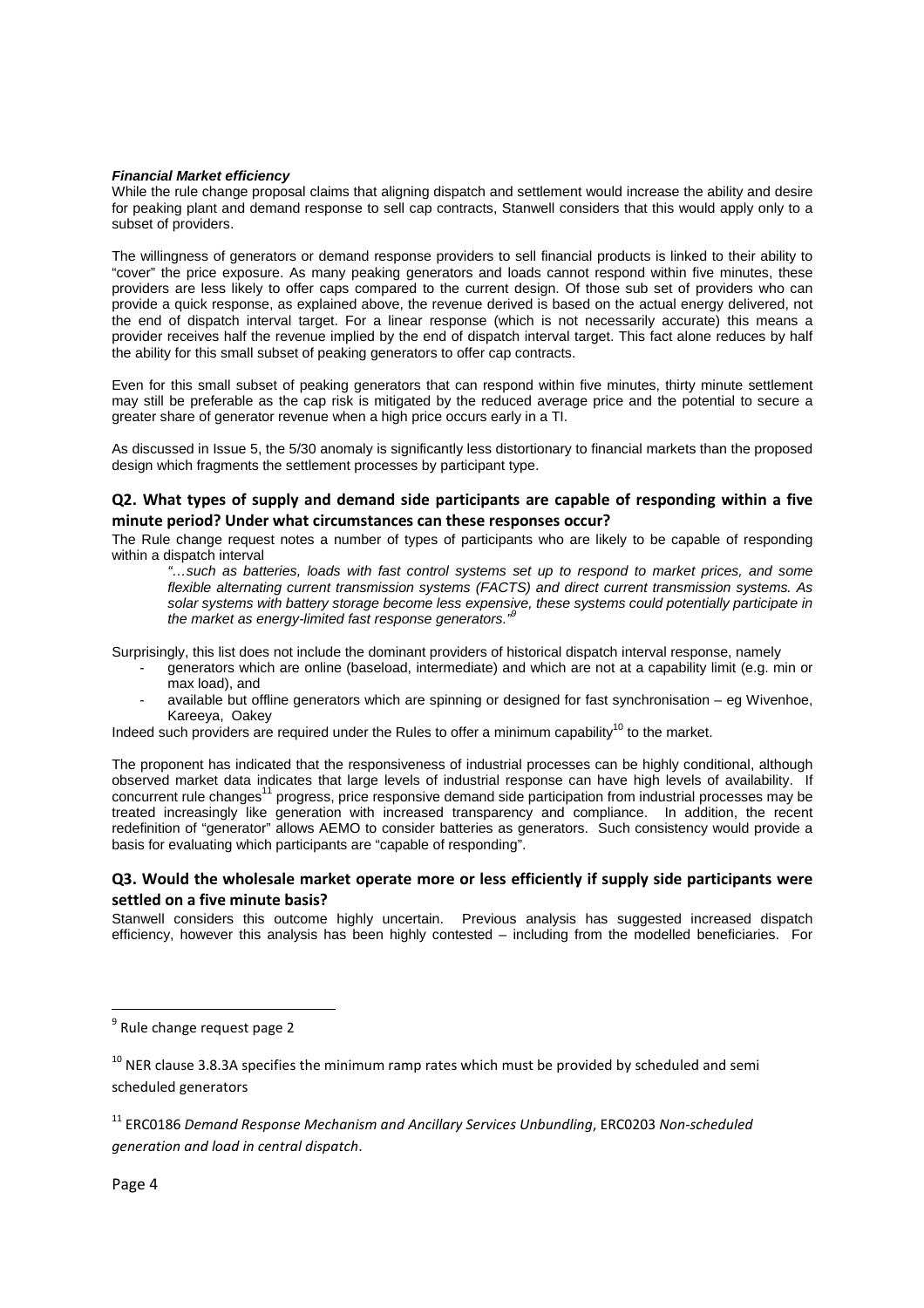#### **Financial Market efficiency**

While the rule change proposal claims that aligning dispatch and settlement would increase the ability and desire for peaking plant and demand response to sell cap contracts, Stanwell considers that this would apply only to a subset of providers.

The willingness of generators or demand response providers to sell financial products is linked to their ability to "cover" the price exposure. As many peaking generators and loads cannot respond within five minutes, these providers are less likely to offer caps compared to the current design. Of those sub set of providers who can provide a quick response, as explained above, the revenue derived is based on the actual energy delivered, not the end of dispatch interval target. For a linear response (which is not necessarily accurate) this means a provider receives half the revenue implied by the end of dispatch interval target. This fact alone reduces by half the ability for this small subset of peaking generators to offer cap contracts.

Even for this small subset of peaking generators that can respond within five minutes, thirty minute settlement may still be preferable as the cap risk is mitigated by the reduced average price and the potential to secure a greater share of generator revenue when a high price occurs early in a TI.

As discussed in Issue 5, the 5/30 anomaly is significantly less distortionary to financial markets than the proposed design which fragments the settlement processes by participant type.

#### **Q2. What types of supply and demand side participants are capable of responding within a five minute period? Under what circumstances can these responses occur?**

The Rule change request notes a number of types of participants who are likely to be capable of responding within a dispatch interval

"…such as batteries, loads with fast control systems set up to respond to market prices, and some flexible alternating current transmission systems (FACTS) and direct current transmission systems. As solar systems with battery storage become less expensive, these systems could potentially participate in the market as energy-limited fast response generators."<sup>9</sup>

Surprisingly, this list does not include the dominant providers of historical dispatch interval response, namely

- generators which are online (baseload, intermediate) and which are not at a capability limit (e.g. min or max load), and
- available but offline generators which are spinning or designed for fast synchronisation eg Wivenhoe, Kareeya, Oakey

Indeed such providers are required under the Rules to offer a minimum capability<sup>10</sup> to the market.

The proponent has indicated that the responsiveness of industrial processes can be highly conditional, although observed market data indicates that large levels of industrial response can have high levels of availability. If concurrent rule changes<sup>11</sup> progress, price responsive demand side participation from industrial processes may be treated increasingly like generation with increased transparency and compliance. In addition, the recent redefinition of "generator" allows AEMO to consider batteries as generators. Such consistency would provide a basis for evaluating which participants are "capable of responding".

#### **Q3. Would the wholesale market operate more or less efficiently if supply side participants were settled on a five minute basis?**

Stanwell considers this outcome highly uncertain. Previous analysis has suggested increased dispatch efficiency, however this analysis has been highly contested – including from the modelled beneficiaries. For

 $\overline{\phantom{0}}$ 

<sup>&</sup>lt;sup>9</sup> Rule change request page 2

 $10$  NER clause 3.8.3A specifies the minimum ramp rates which must be provided by scheduled and semi scheduled generators

<sup>11</sup> ERC0186 *Demand Response Mechanism and Ancillary Services Unbundling*, ERC0203 *Non-scheduled generation and load in central dispatch*.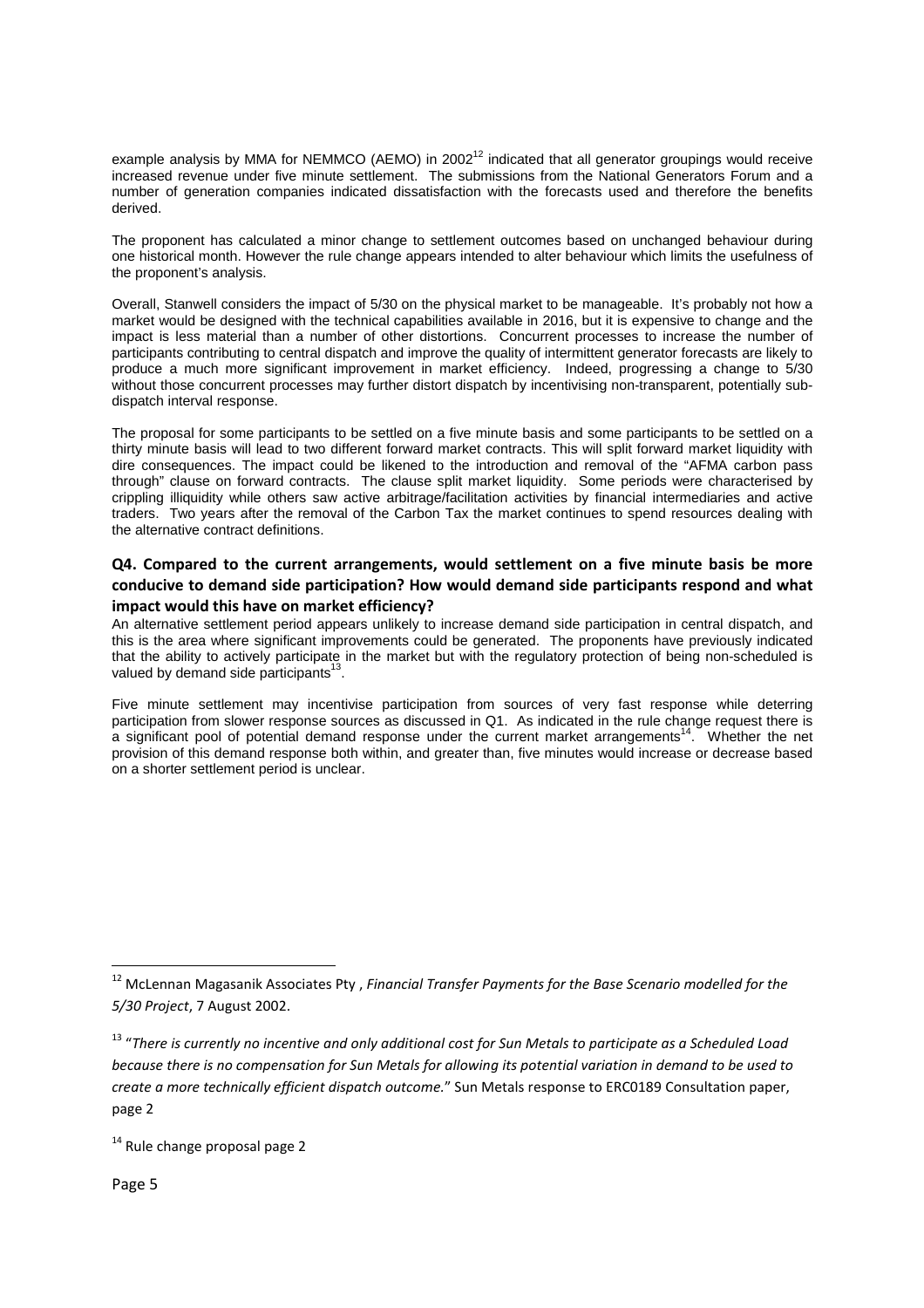example analysis by MMA for NEMMCO (AEMO) in 2002<sup>12</sup> indicated that all generator groupings would receive increased revenue under five minute settlement. The submissions from the National Generators Forum and a number of generation companies indicated dissatisfaction with the forecasts used and therefore the benefits derived.

The proponent has calculated a minor change to settlement outcomes based on unchanged behaviour during one historical month. However the rule change appears intended to alter behaviour which limits the usefulness of the proponent's analysis.

Overall, Stanwell considers the impact of 5/30 on the physical market to be manageable. It's probably not how a market would be designed with the technical capabilities available in 2016, but it is expensive to change and the impact is less material than a number of other distortions. Concurrent processes to increase the number of participants contributing to central dispatch and improve the quality of intermittent generator forecasts are likely to produce a much more significant improvement in market efficiency. Indeed, progressing a change to 5/30 without those concurrent processes may further distort dispatch by incentivising non-transparent, potentially subdispatch interval response.

The proposal for some participants to be settled on a five minute basis and some participants to be settled on a thirty minute basis will lead to two different forward market contracts. This will split forward market liquidity with dire consequences. The impact could be likened to the introduction and removal of the "AFMA carbon pass through" clause on forward contracts. The clause split market liquidity. Some periods were characterised by crippling illiquidity while others saw active arbitrage/facilitation activities by financial intermediaries and active traders. Two years after the removal of the Carbon Tax the market continues to spend resources dealing with the alternative contract definitions.

## **Q4. Compared to the current arrangements, would settlement on a five minute basis be more conducive to demand side participation? How would demand side participants respond and what impact would this have on market efficiency?**

An alternative settlement period appears unlikely to increase demand side participation in central dispatch, and this is the area where significant improvements could be generated. The proponents have previously indicated that the ability to actively participate in the market but with the regulatory protection of being non-scheduled is valued by demand side participants $^{13}$ .

Five minute settlement may incentivise participation from sources of very fast response while deterring participation from slower response sources as discussed in Q1. As indicated in the rule change request there is a significant pool of potential demand response under the current market arrangements<sup>14</sup>. Whether the net provision of this demand response both within, and greater than, five minutes would increase or decrease based on a shorter settlement period is unclear.

 $\overline{\phantom{0}}$ 

<sup>12</sup> McLennan Magasanik Associates Pty , *Financial Transfer Payments for the Base Scenario modelled for the 5/30 Project*, 7 August 2002.

<sup>13</sup> "*There is currently no incentive and only additional cost for Sun Metals to participate as a Scheduled Load because there is no compensation for Sun Metals for allowing its potential variation in demand to be used to create a more technically efficient dispatch outcome.*" Sun Metals response to ERC0189 Consultation paper, page 2

 $14$  Rule change proposal page 2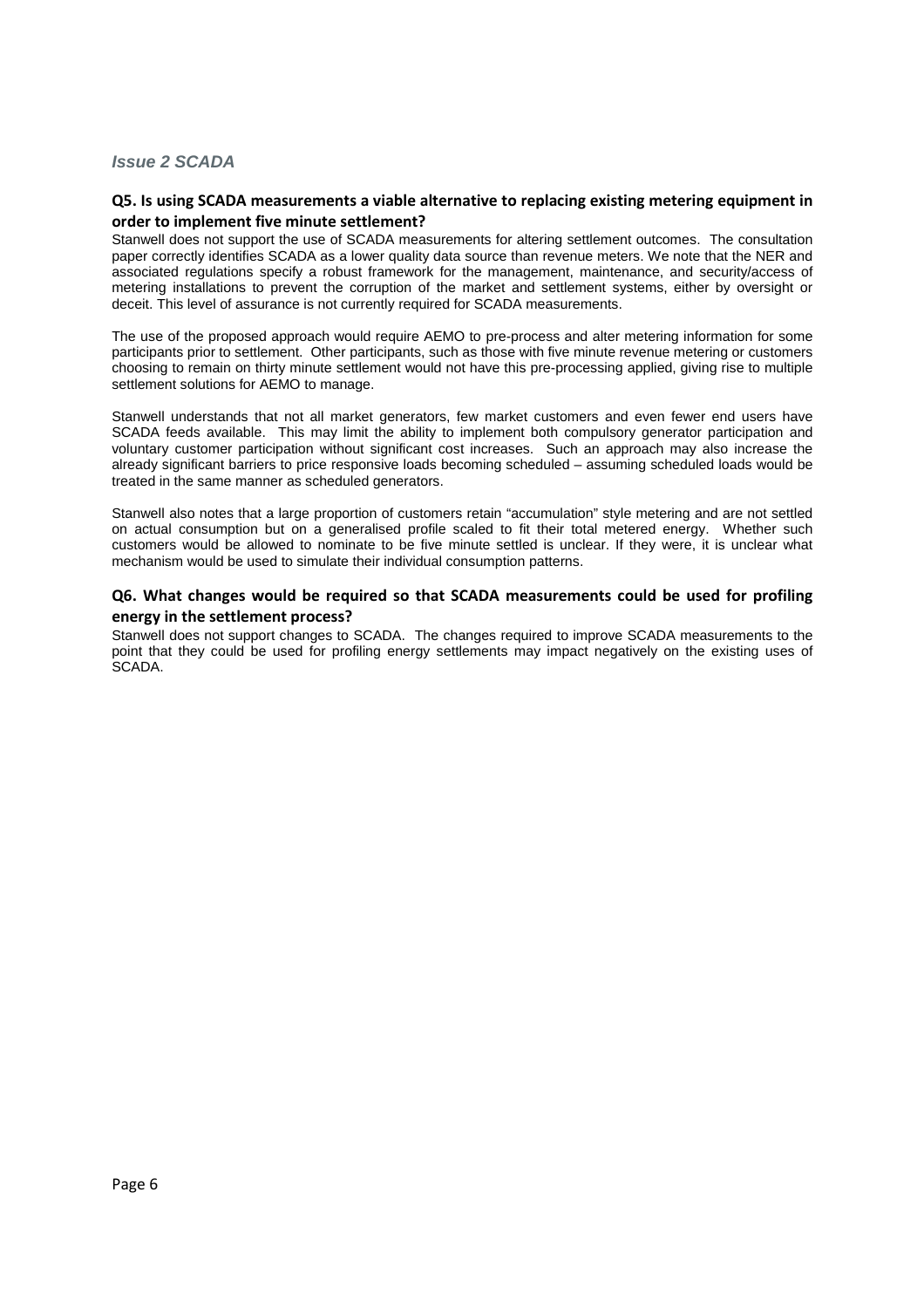## **Issue 2 SCADA**

## **Q5. Is using SCADA measurements a viable alternative to replacing existing metering equipment in order to implement five minute settlement?**

Stanwell does not support the use of SCADA measurements for altering settlement outcomes. The consultation paper correctly identifies SCADA as a lower quality data source than revenue meters. We note that the NER and associated regulations specify a robust framework for the management, maintenance, and security/access of metering installations to prevent the corruption of the market and settlement systems, either by oversight or deceit. This level of assurance is not currently required for SCADA measurements.

The use of the proposed approach would require AEMO to pre-process and alter metering information for some participants prior to settlement. Other participants, such as those with five minute revenue metering or customers choosing to remain on thirty minute settlement would not have this pre-processing applied, giving rise to multiple settlement solutions for AEMO to manage.

Stanwell understands that not all market generators, few market customers and even fewer end users have SCADA feeds available. This may limit the ability to implement both compulsory generator participation and voluntary customer participation without significant cost increases. Such an approach may also increase the already significant barriers to price responsive loads becoming scheduled – assuming scheduled loads would be treated in the same manner as scheduled generators.

Stanwell also notes that a large proportion of customers retain "accumulation" style metering and are not settled on actual consumption but on a generalised profile scaled to fit their total metered energy. Whether such customers would be allowed to nominate to be five minute settled is unclear. If they were, it is unclear what mechanism would be used to simulate their individual consumption patterns.

#### **Q6. What changes would be required so that SCADA measurements could be used for profiling energy in the settlement process?**

Stanwell does not support changes to SCADA. The changes required to improve SCADA measurements to the point that they could be used for profiling energy settlements may impact negatively on the existing uses of SCADA.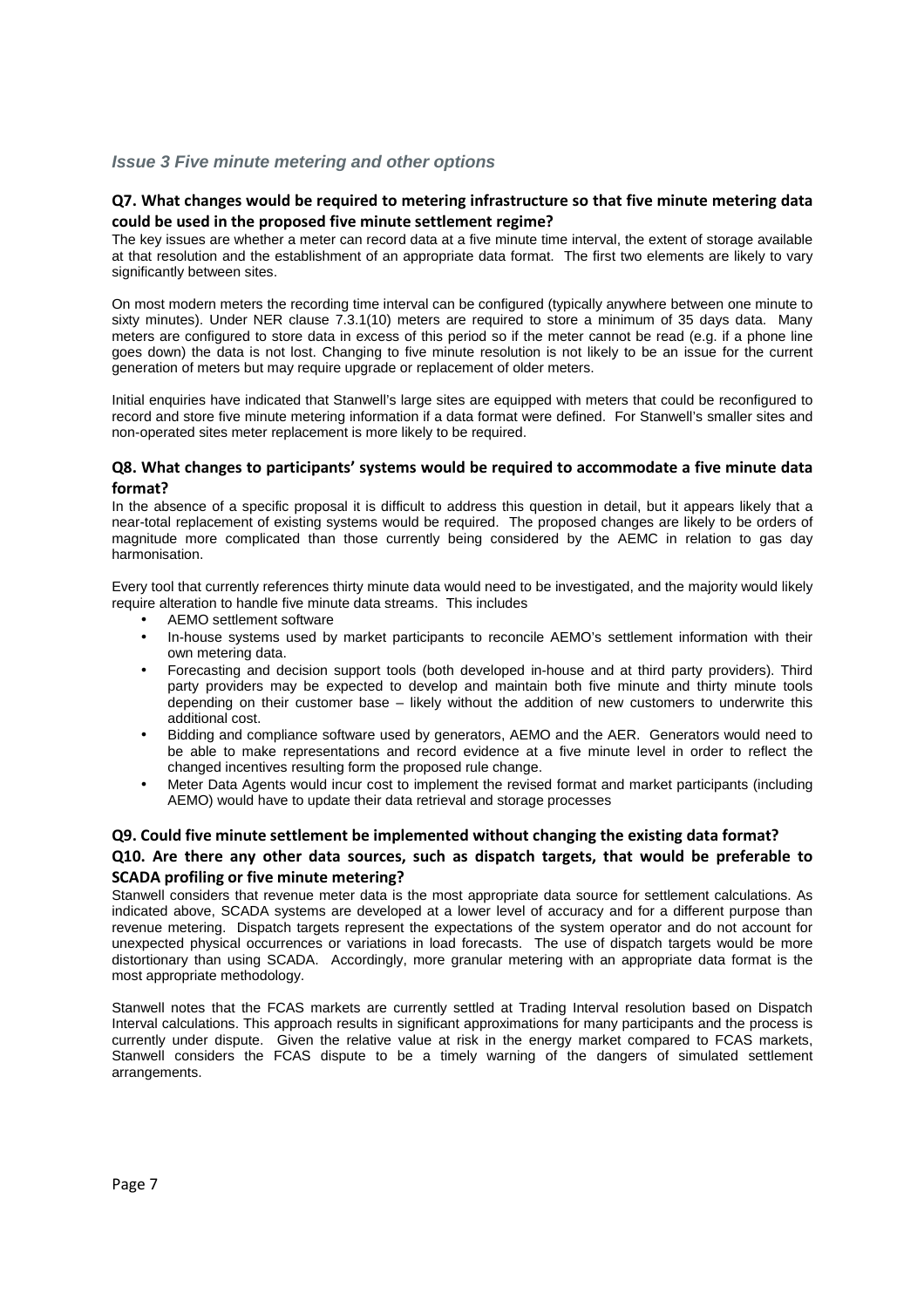## **Issue 3 Five minute metering and other options**

#### **Q7. What changes would be required to metering infrastructure so that five minute metering data could be used in the proposed five minute settlement regime?**

The key issues are whether a meter can record data at a five minute time interval, the extent of storage available at that resolution and the establishment of an appropriate data format. The first two elements are likely to vary significantly between sites.

On most modern meters the recording time interval can be configured (typically anywhere between one minute to sixty minutes). Under NER clause 7.3.1(10) meters are required to store a minimum of 35 days data. Many meters are configured to store data in excess of this period so if the meter cannot be read (e.g. if a phone line goes down) the data is not lost. Changing to five minute resolution is not likely to be an issue for the current generation of meters but may require upgrade or replacement of older meters.

Initial enquiries have indicated that Stanwell's large sites are equipped with meters that could be reconfigured to record and store five minute metering information if a data format were defined. For Stanwell's smaller sites and non-operated sites meter replacement is more likely to be required.

#### **Q8. What changes to participants' systems would be required to accommodate a five minute data format?**

In the absence of a specific proposal it is difficult to address this question in detail, but it appears likely that a near-total replacement of existing systems would be required. The proposed changes are likely to be orders of magnitude more complicated than those currently being considered by the AEMC in relation to gas day harmonisation.

Every tool that currently references thirty minute data would need to be investigated, and the majority would likely require alteration to handle five minute data streams. This includes

- AEMO settlement software
- In-house systems used by market participants to reconcile AEMO's settlement information with their own metering data.
- Forecasting and decision support tools (both developed in-house and at third party providers). Third party providers may be expected to develop and maintain both five minute and thirty minute tools depending on their customer base – likely without the addition of new customers to underwrite this additional cost.
- Bidding and compliance software used by generators, AEMO and the AER. Generators would need to be able to make representations and record evidence at a five minute level in order to reflect the changed incentives resulting form the proposed rule change.
- Meter Data Agents would incur cost to implement the revised format and market participants (including AEMO) would have to update their data retrieval and storage processes

## **Q9. Could five minute settlement be implemented without changing the existing data format? Q10. Are there any other data sources, such as dispatch targets, that would be preferable to SCADA profiling or five minute metering?**

Stanwell considers that revenue meter data is the most appropriate data source for settlement calculations. As indicated above, SCADA systems are developed at a lower level of accuracy and for a different purpose than revenue metering. Dispatch targets represent the expectations of the system operator and do not account for unexpected physical occurrences or variations in load forecasts. The use of dispatch targets would be more distortionary than using SCADA. Accordingly, more granular metering with an appropriate data format is the most appropriate methodology.

Stanwell notes that the FCAS markets are currently settled at Trading Interval resolution based on Dispatch Interval calculations. This approach results in significant approximations for many participants and the process is currently under dispute. Given the relative value at risk in the energy market compared to FCAS markets, Stanwell considers the FCAS dispute to be a timely warning of the dangers of simulated settlement arrangements.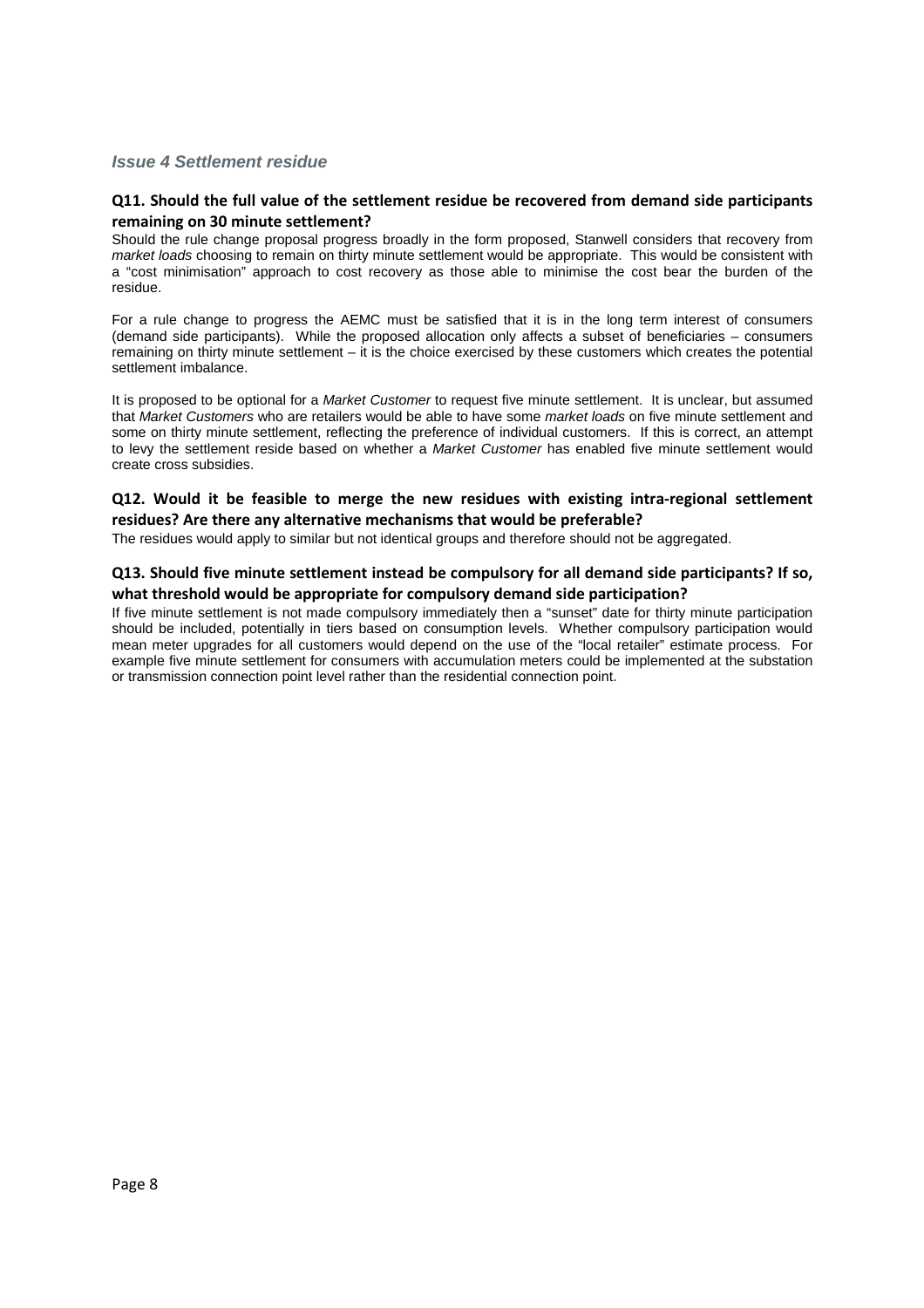## **Issue 4 Settlement residue**

## **Q11. Should the full value of the settlement residue be recovered from demand side participants remaining on 30 minute settlement?**

Should the rule change proposal progress broadly in the form proposed, Stanwell considers that recovery from market loads choosing to remain on thirty minute settlement would be appropriate. This would be consistent with a "cost minimisation" approach to cost recovery as those able to minimise the cost bear the burden of the residue.

For a rule change to progress the AEMC must be satisfied that it is in the long term interest of consumers (demand side participants). While the proposed allocation only affects a subset of beneficiaries – consumers remaining on thirty minute settlement – it is the choice exercised by these customers which creates the potential settlement imbalance.

It is proposed to be optional for a Market Customer to request five minute settlement. It is unclear, but assumed that Market Customers who are retailers would be able to have some market loads on five minute settlement and some on thirty minute settlement, reflecting the preference of individual customers. If this is correct, an attempt to levy the settlement reside based on whether a Market Customer has enabled five minute settlement would create cross subsidies.

#### **Q12. Would it be feasible to merge the new residues with existing intra-regional settlement residues? Are there any alternative mechanisms that would be preferable?**

The residues would apply to similar but not identical groups and therefore should not be aggregated.

#### **Q13. Should five minute settlement instead be compulsory for all demand side participants? If so, what threshold would be appropriate for compulsory demand side participation?**

If five minute settlement is not made compulsory immediately then a "sunset" date for thirty minute participation should be included, potentially in tiers based on consumption levels. Whether compulsory participation would mean meter upgrades for all customers would depend on the use of the "local retailer" estimate process. For example five minute settlement for consumers with accumulation meters could be implemented at the substation or transmission connection point level rather than the residential connection point.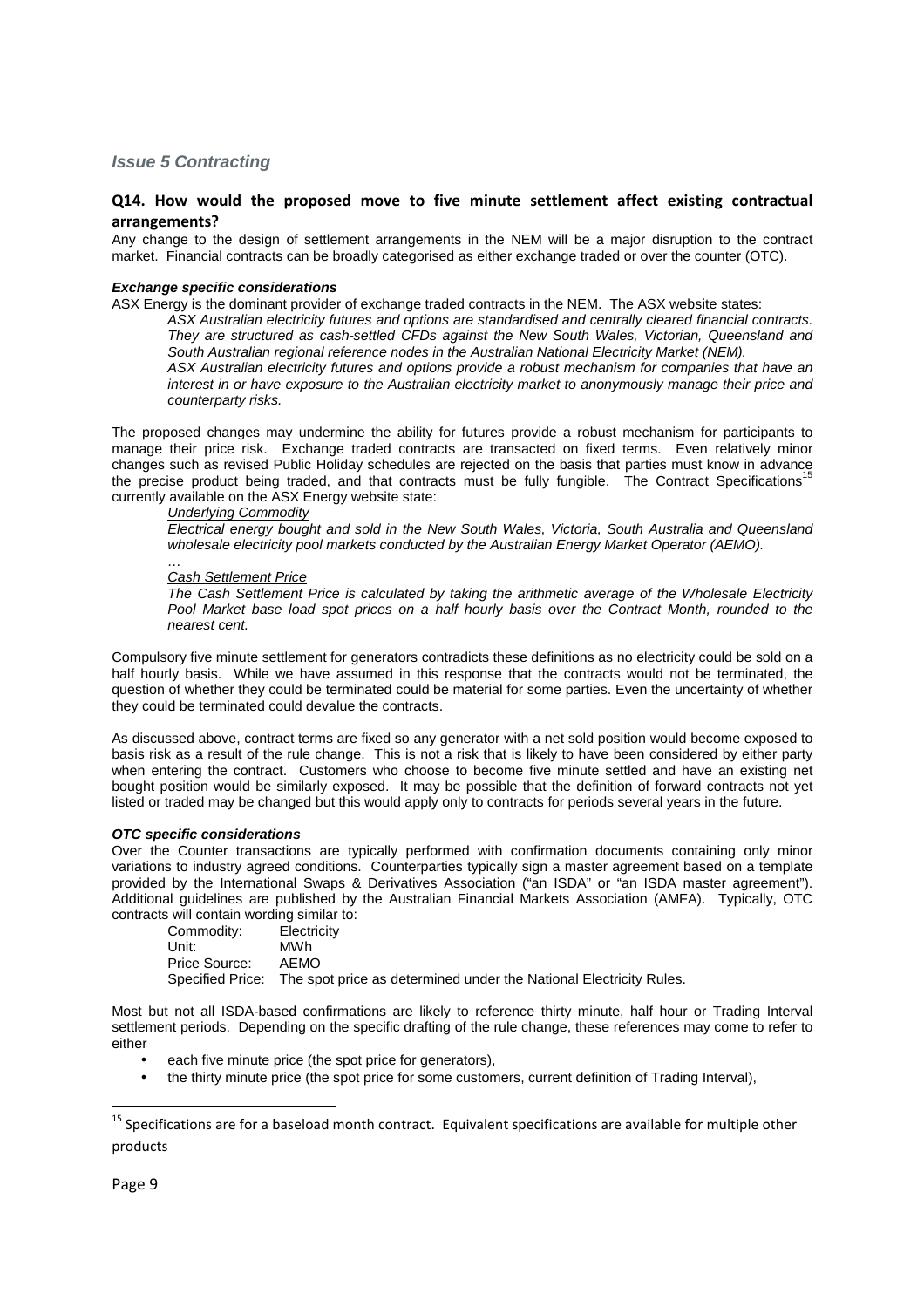#### **Issue 5 Contracting**

## **Q14. How would the proposed move to five minute settlement affect existing contractual arrangements?**

Any change to the design of settlement arrangements in the NEM will be a major disruption to the contract market. Financial contracts can be broadly categorised as either exchange traded or over the counter (OTC).

#### **Exchange specific considerations**

ASX Energy is the dominant provider of exchange traded contracts in the NEM. The ASX website states:

ASX Australian electricity futures and options are standardised and centrally cleared financial contracts. They are structured as cash-settled CFDs against the New South Wales, Victorian, Queensland and South Australian regional reference nodes in the Australian National Electricity Market (NEM).

ASX Australian electricity futures and options provide a robust mechanism for companies that have an interest in or have exposure to the Australian electricity market to anonymously manage their price and counterparty risks.

The proposed changes may undermine the ability for futures provide a robust mechanism for participants to manage their price risk. Exchange traded contracts are transacted on fixed terms. Even relatively minor manage their price risk. Excritative traded contracts are rejected on the basis that parties must know in advance<br>changes such as revised Public Holiday schedules are rejected on the basis that parties must know in advance the precise product being traded, and that contracts must be fully fungible. The Contract Specifications<sup>1</sup> currently available on the ASX Energy website state:

#### Underlying Commodity

Electrical energy bought and sold in the New South Wales, Victoria, South Australia and Queensland wholesale electricity pool markets conducted by the Australian Energy Market Operator (AEMO).

#### … Cash Settlement Price

The Cash Settlement Price is calculated by taking the arithmetic average of the Wholesale Electricity Pool Market base load spot prices on a half hourly basis over the Contract Month, rounded to the nearest cent.

Compulsory five minute settlement for generators contradicts these definitions as no electricity could be sold on a half hourly basis. While we have assumed in this response that the contracts would not be terminated, the question of whether they could be terminated could be material for some parties. Even the uncertainty of whether they could be terminated could devalue the contracts.

As discussed above, contract terms are fixed so any generator with a net sold position would become exposed to basis risk as a result of the rule change. This is not a risk that is likely to have been considered by either party when entering the contract. Customers who choose to become five minute settled and have an existing net bought position would be similarly exposed. It may be possible that the definition of forward contracts not yet listed or traded may be changed but this would apply only to contracts for periods several years in the future.

#### **OTC specific considerations**

Over the Counter transactions are typically performed with confirmation documents containing only minor variations to industry agreed conditions. Counterparties typically sign a master agreement based on a template provided by the International Swaps & Derivatives Association ("an ISDA" or "an ISDA master agreement"). Additional guidelines are published by the Australian Financial Markets Association (AMFA). Typically, OTC contracts will contain wording similar to:

 Commodity: Electricity Unit: MWh Price Source: AEMO Specified Price: The spot price as determined under the National Electricity Rules.

Most but not all ISDA-based confirmations are likely to reference thirty minute, half hour or Trading Interval settlement periods. Depending on the specific drafting of the rule change, these references may come to refer to either

- each five minute price (the spot price for generators),
- the thirty minute price (the spot price for some customers, current definition of Trading Interval),

 $\overline{a}$ 

<sup>&</sup>lt;sup>15</sup> Specifications are for a baseload month contract. Equivalent specifications are available for multiple other products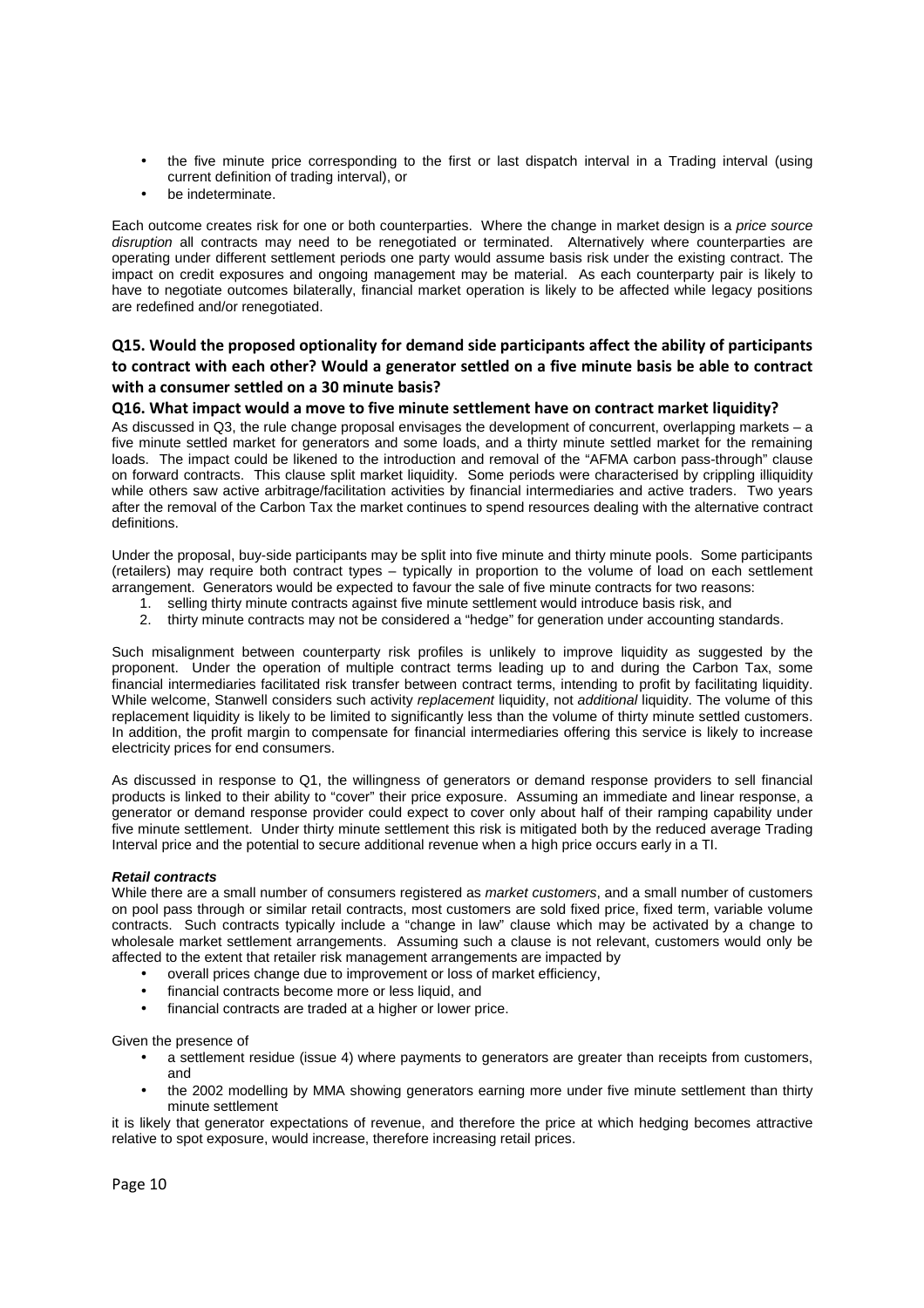- the five minute price corresponding to the first or last dispatch interval in a Trading interval (using current definition of trading interval), or
- be indeterminate.

Each outcome creates risk for one or both counterparties. Where the change in market design is a price source disruption all contracts may need to be renegotiated or terminated. Alternatively where counterparties are operating under different settlement periods one party would assume basis risk under the existing contract. The impact on credit exposures and ongoing management may be material. As each counterparty pair is likely to have to negotiate outcomes bilaterally, financial market operation is likely to be affected while legacy positions are redefined and/or renegotiated.

## **Q15. Would the proposed optionality for demand side participants affect the ability of participants to contract with each other? Would a generator settled on a five minute basis be able to contract with a consumer settled on a 30 minute basis?**

#### **Q16. What impact would a move to five minute settlement have on contract market liquidity?**

As discussed in Q3, the rule change proposal envisages the development of concurrent, overlapping markets – a five minute settled market for generators and some loads, and a thirty minute settled market for the remaining loads. The impact could be likened to the introduction and removal of the "AFMA carbon pass-through" clause on forward contracts. This clause split market liquidity. Some periods were characterised by crippling illiquidity while others saw active arbitrage/facilitation activities by financial intermediaries and active traders. Two years after the removal of the Carbon Tax the market continues to spend resources dealing with the alternative contract definitions.

Under the proposal, buy-side participants may be split into five minute and thirty minute pools. Some participants (retailers) may require both contract types – typically in proportion to the volume of load on each settlement arrangement. Generators would be expected to favour the sale of five minute contracts for two reasons:

- 1. selling thirty minute contracts against five minute settlement would introduce basis risk, and
- 2. thirty minute contracts may not be considered a "hedge" for generation under accounting standards.

Such misalignment between counterparty risk profiles is unlikely to improve liquidity as suggested by the proponent. Under the operation of multiple contract terms leading up to and during the Carbon Tax, some financial intermediaries facilitated risk transfer between contract terms, intending to profit by facilitating liquidity. While welcome, Stanwell considers such activity replacement liquidity, not additional liquidity. The volume of this replacement liquidity is likely to be limited to significantly less than the volume of thirty minute settled customers. In addition, the profit margin to compensate for financial intermediaries offering this service is likely to increase electricity prices for end consumers.

As discussed in response to Q1, the willingness of generators or demand response providers to sell financial products is linked to their ability to "cover" their price exposure. Assuming an immediate and linear response, a generator or demand response provider could expect to cover only about half of their ramping capability under five minute settlement. Under thirty minute settlement this risk is mitigated both by the reduced average Trading Interval price and the potential to secure additional revenue when a high price occurs early in a TI.

#### **Retail contracts**

While there are a small number of consumers registered as market customers, and a small number of customers on pool pass through or similar retail contracts, most customers are sold fixed price, fixed term, variable volume contracts. Such contracts typically include a "change in law" clause which may be activated by a change to wholesale market settlement arrangements. Assuming such a clause is not relevant, customers would only be affected to the extent that retailer risk management arrangements are impacted by

- overall prices change due to improvement or loss of market efficiency,
- financial contracts become more or less liquid, and
- financial contracts are traded at a higher or lower price.

Given the presence of

- a settlement residue (issue 4) where payments to generators are greater than receipts from customers, and
- the 2002 modelling by MMA showing generators earning more under five minute settlement than thirty minute settlement

it is likely that generator expectations of revenue, and therefore the price at which hedging becomes attractive relative to spot exposure, would increase, therefore increasing retail prices.